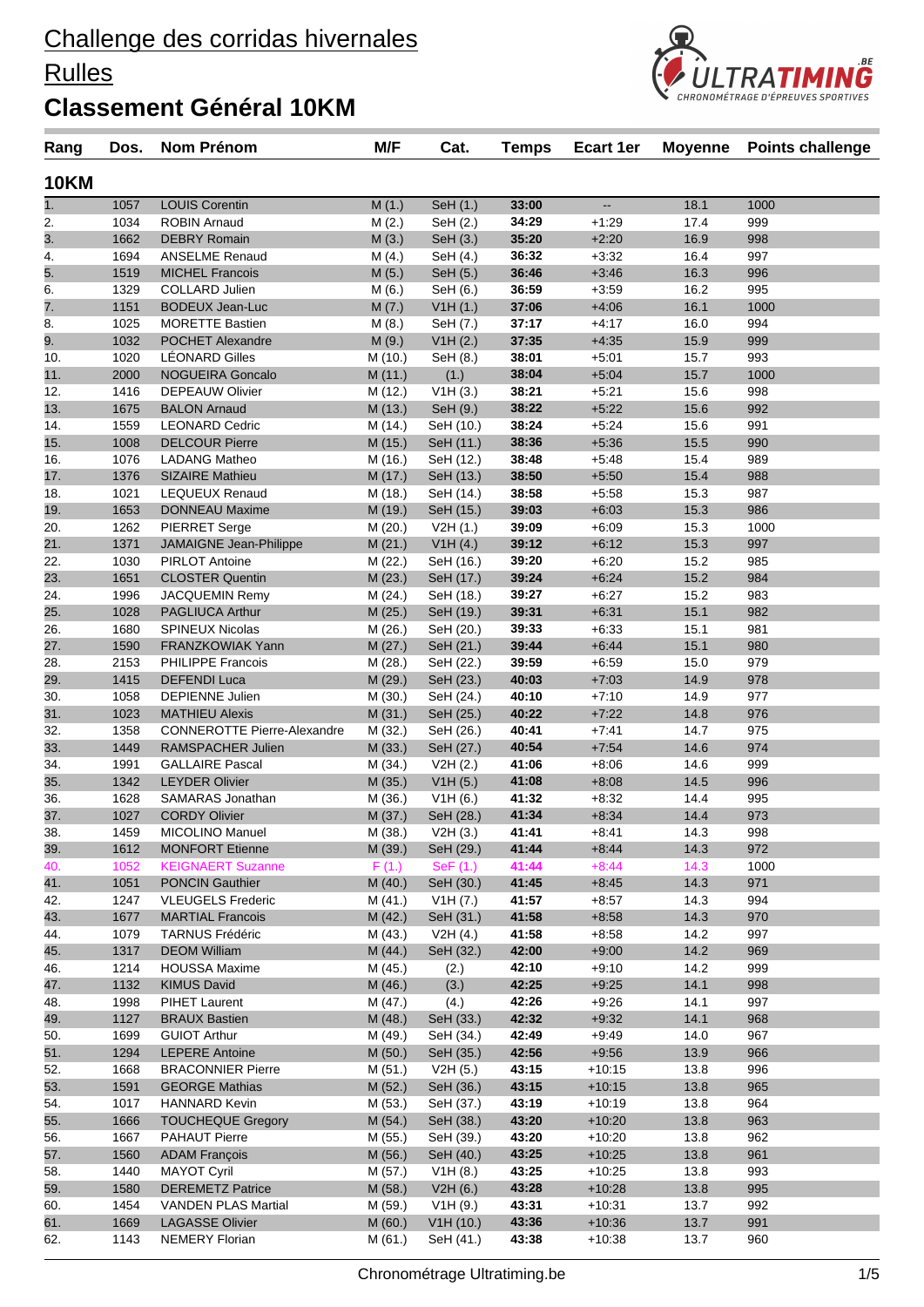### **Rulles**

### **Classement Général 10KM**

| 10KM       |              |                                                     |                    |                        |                |                    |              |            |  |
|------------|--------------|-----------------------------------------------------|--------------------|------------------------|----------------|--------------------|--------------|------------|--|
| 1.         | 1057         | <b>LOUIS Corentin</b>                               | M(1.)              | SeH (1.)               | 33:00          | Щ.                 | 18.1         | 1000       |  |
| 2.         | 1034         | <b>ROBIN Arnaud</b>                                 | M(2.)              | SeH (2.)               | 34:29          | $+1:29$            | 17.4         | 999        |  |
| 3.         | 1662         | <b>DEBRY Romain</b>                                 | M(3.)              | SeH (3.)               | 35:20          | $+2:20$            | 16.9         | 998        |  |
| 4.         | 1694         | <b>ANSELME Renaud</b>                               | M(4.)              | SeH $(4.)$             | 36:32          | $+3:32$            | 16.4         | 997        |  |
| 5.         | 1519         | <b>MICHEL Francois</b>                              | M(5.)              | SeH (5.)               | 36:46          | $+3:46$            | 16.3         | 996        |  |
| 6.         | 1329         | <b>COLLARD Julien</b>                               | M(6.)              | SeH $(6.)$             | 36:59          | $+3:59$            | 16.2         | 995        |  |
| 7.         | 1151         | <b>BODEUX Jean-Luc</b>                              | M(7.)              | V1H(1.)                | 37:06          | $+4:06$            | 16.1         | 1000       |  |
| 8.         | 1025         | <b>MORETTE Bastien</b>                              | M(8.)              | SeH (7.)               | 37:17          | $+4:17$            | 16.0         | 994        |  |
| 9.         | 1032         | <b>POCHET Alexandre</b>                             | M(9.)              | V1H (2.)               | 37:35          | $+4:35$            | 15.9         | 999        |  |
| 10.        | 1020         | <b>LÉONARD Gilles</b>                               | M (10.)            | SeH (8.)               | 38:01          | $+5:01$            | 15.7         | 993        |  |
| 11.        | 2000         | <b>NOGUEIRA Goncalo</b>                             | M(11.)             | (1.)                   | 38:04          | $+5:04$            | 15.7         | 1000       |  |
| 12.        | 1416         | <b>DEPEAUW Olivier</b>                              | M (12.)            | V1H(3.)                | 38:21          | $+5:21$            | 15.6         | 998        |  |
| 13.        | 1675         | <b>BALON Arnaud</b>                                 | M(13.)             | SeH (9.)               | 38:22          | $+5:22$            | 15.6         | 992        |  |
| 14.        | 1559         | <b>LEONARD Cedric</b>                               | M (14.)            | SeH (10.)              | 38:24          | $+5:24$            | 15.6         | 991        |  |
| 15.        | 1008         | <b>DELCOUR Pierre</b>                               | M (15.)            | SeH (11.)              | 38:36          | $+5:36$            | 15.5         | 990        |  |
| 16.        | 1076         | <b>LADANG Matheo</b>                                | M (16.)            | SeH (12.)              | 38:48          | $+5:48$            | 15.4         | 989        |  |
| 17.        | 1376         | <b>SIZAIRE Mathieu</b>                              | M (17.)            | SeH (13.)              | 38:50          | $+5:50$            | 15.4         | 988        |  |
| 18.        | 1021         | <b>LEQUEUX Renaud</b>                               | M (18.)            | SeH (14.)              | 38:58          | $+5.58$            | 15.3         | 987        |  |
| 19.        | 1653         | <b>DONNEAU Maxime</b>                               | M (19.)            | SeH (15.)              | 39:03          | $+6:03$            | 15.3         | 986        |  |
| 20.        | 1262         | <b>PIERRET Serge</b>                                | M (20.)            | V2H(1.)                | 39:09          | $+6:09$            | 15.3         | 1000       |  |
| 21.        | 1371         | <b>JAMAIGNE Jean-Philippe</b>                       | M(21.)             | V1H(4.)                | 39:12          | $+6:12$            | 15.3         | 997        |  |
| 22.        | 1030         | <b>PIRLOT Antoine</b>                               | M(22.)             | SeH (16.)              | 39:20          | $+6:20$            | 15.2         | 985        |  |
| 23.        | 1651         | <b>CLOSTER Quentin</b>                              | M(23.)             | SeH (17.)              | 39:24          | $+6:24$            | 15.2         | 984        |  |
| 24.        | 1996         | <b>JACQUEMIN Remy</b>                               | M (24.)            | SeH (18.)              | 39:27          | $+6:27$            | 15.2         | 983        |  |
| 25.        | 1028         | <b>PAGLIUCA Arthur</b>                              | M(25.)             | SeH (19.)              | 39:31<br>39:33 | $+6:31$            | 15.1         | 982        |  |
| 26.        | 1680         | <b>SPINEUX Nicolas</b>                              | M (26.)            | SeH (20.)              | 39:44          | $+6:33$            | 15.1         | 981        |  |
| 27.        | 1590<br>2153 | <b>FRANZKOWIAK Yann</b><br><b>PHILIPPE Francois</b> | M(27.)             | SeH (21.)              | 39:59          | $+6:44$<br>$+6.59$ | 15.1<br>15.0 | 980<br>979 |  |
| 28.        | 1415         | <b>DEFENDI Luca</b>                                 | M (28.)            | SeH (22.)              | 40:03          | $+7:03$            | 14.9         | 978        |  |
| 29.<br>30. | 1058         | <b>DEPIENNE Julien</b>                              | M (29.)<br>M (30.) | SeH (23.)<br>SeH (24.) | 40:10          | $+7:10$            | 14.9         | 977        |  |
| 31.        | 1023         | <b>MATHIEU Alexis</b>                               | M(31.)             | SeH (25.)              | 40:22          | $+7:22$            | 14.8         | 976        |  |
| 32.        | 1358         | <b>CONNEROTTE Pierre-Alexandre</b>                  | M (32.)            | SeH (26.)              | 40:41          | $+7.41$            | 14.7         | 975        |  |
| 33.        | 1449         | RAMSPACHER Julien                                   | M(33.)             | SeH (27.)              | 40:54          | $+7:54$            | 14.6         | 974        |  |
| 34.        | 1991         | <b>GALLAIRE Pascal</b>                              | M (34.)            | V2H(2.)                | 41:06          | $+8:06$            | 14.6         | 999        |  |
| 35.        | 1342         | <b>LEYDER Olivier</b>                               | M(35.)             | V1H(5.)                | 41:08          | $+8:08$            | 14.5         | 996        |  |
| 36.        | 1628         | SAMARAS Jonathan                                    | M (36.)            | V1H(6.)                | 41:32          | $+8.32$            | 14.4         | 995        |  |
| 37.        | 1027         | <b>CORDY Olivier</b>                                | M (37.)            | SeH (28.)              | 41:34          | $+8:34$            | 14.4         | 973        |  |
| 38.        | 1459         | <b>MICOLINO Manuel</b>                              | M (38.)            | V2H (3.)               | 41:41          | $+8.41$            | 14.3         | 998        |  |
| 39.        | 1612         | <b>MONFORT Etienne</b>                              | M (39.)            | SeH (29.)              | 41:44          | $+8:44$            | 14.3         | 972        |  |
| 40.        | 1052         | <b>KEIGNAERT Suzanne</b>                            | F(1.)              | SeF(1.)                | 41:44          | $+8:44$            | 14.3         | 1000       |  |
| 41.        | 1051         | <b>PONCIN Gauthier</b>                              | M(40.)             | SeH (30.)              | 41:45          | $+8:45$            | 14.3         | 971        |  |
| 42.        | 1247         | <b>VLEUGELS Frederic</b>                            | M(41.)             | V1H (7.)               | 41:57          | $+8.57$            | 14.3         | 994        |  |
| 43.        | 1677         | <b>MARTIAL Francois</b>                             | M(42.)             | SeH (31.)              | 41:58          | $+8:58$            | 14.3         | 970        |  |
| 44.        | 1079         | <b>TARNUS Frédéric</b>                              | M(43.)             | V2H $(4.)$             | 41:58          | $+8.58$            | 14.2         | 997        |  |
| 45.        | 1317         | <b>DEOM William</b>                                 | M(44.)             | SeH (32.)              | 42:00          | $+9:00$            | 14.2         | 969        |  |
| 46.        | 1214         | <b>HOUSSA Maxime</b>                                | M (45.)            | (2.)                   | 42:10          | $+9:10$            | 14.2         | 999        |  |
| 47.        | 1132         | <b>KIMUS David</b>                                  | M (46.)            | (3.)                   | 42:25          | $+9:25$            | 14.1         | 998        |  |
| 48.        | 1998         | PIHET Laurent                                       | M (47.)            | (4.)                   | 42:26          | $+9:26$            | 14.1         | 997        |  |
| 49.        | 1127         | <b>BRAUX Bastien</b>                                | M(48.)             | SeH (33.)              | 42:32          | $+9:32$            | 14.1         | 968        |  |
| 50.        | 1699         | <b>GUIOT Arthur</b>                                 | M (49.)            | SeH (34.)              | 42:49          | $+9.49$            | 14.0         | 967        |  |
| 51.        | 1294         | <b>LEPERE Antoine</b>                               | M(50.)             | SeH (35.)              | 42:56          | $+9:56$            | 13.9         | 966        |  |
| 52.        | 1668         | <b>BRACONNIER Pierre</b>                            | M (51.)            | V2H(5.)                | 43:15          | +10:15             | 13.8         | 996        |  |
| 53.        | 1591         | <b>GEORGE Mathias</b>                               | M (52.)            | SeH (36.)              | 43:15          | $+10:15$           | 13.8         | 965        |  |
| 54.        | 1017         | <b>HANNARD Kevin</b>                                | M (53.)            | SeH (37.)              | 43:19          | $+10:19$           | 13.8         | 964        |  |
| 55.        | 1666         | <b>TOUCHEQUE Gregory</b>                            | M(54.)             | SeH (38.)              | 43:20          | $+10:20$           | 13.8         | 963        |  |
| 56.        | 1667         | <b>PAHAUT Pierre</b>                                | M(55.)             | SeH (39.)              | 43:20          | +10:20             | 13.8         | 962        |  |
| 57.        | 1560         | <b>ADAM François</b>                                | M(56.)             | SeH (40.)              | 43:25          | $+10:25$           | 13.8         | 961        |  |
| 58.        | 1440         | <b>MAYOT Cyril</b>                                  | M (57.)            | V1H(8.)                | 43:25          | +10:25             | 13.8         | 993        |  |
| 59.        | 1580         | <b>DEREMETZ Patrice</b>                             | M(58.)             | V2H(6.)                | 43:28          | $+10.28$           | 13.8         | 995        |  |
| 60.        | 1454         | <b>VANDEN PLAS Martial</b>                          | M (59.)            | V1H(9.)                | 43:31          | $+10:31$           | 13.7         | 992        |  |
| 61.        | 1669         | <b>LAGASSE Olivier</b>                              | M(60.)             | V1H(10.)               | 43:36          | $+10.36$           | 13.7         | 991        |  |
| 62.        | 1143         | NEMERY Florian                                      | M (61.)            | SeH (41.)              | 43:38          | $+10:38$           | 13.7         | 960        |  |
|            |              |                                                     |                    |                        |                |                    |              |            |  |

**Rang Dos. Nom Prénom M/F Cat. Temps Ecart 1er Moyenne Points challenge**

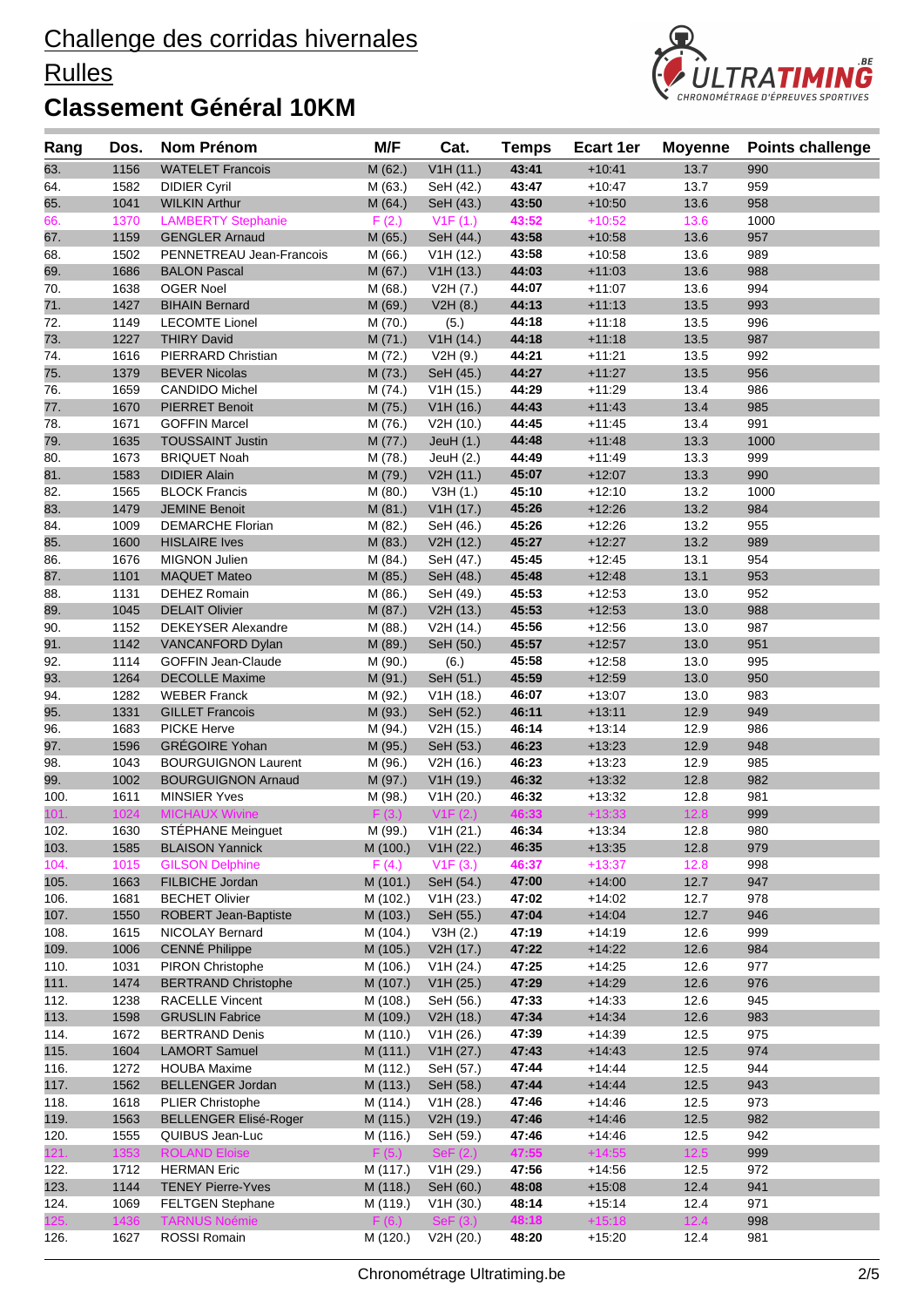### **Rulles**



| Rang         | Dos.         | Nom Prénom                                      | M/F                  | Cat.                          | <b>Temps</b>   | <b>Ecart 1er</b>     | <b>Moyenne</b> | <b>Points challenge</b> |
|--------------|--------------|-------------------------------------------------|----------------------|-------------------------------|----------------|----------------------|----------------|-------------------------|
| 63.          | 1156         | <b>WATELET Francois</b>                         | M (62.)              | V1H(11.)                      | 43:41          | $+10:41$             | 13.7           | 990                     |
| 64.          | 1582         | <b>DIDIER Cyril</b>                             | M (63.)              | SeH (42.)                     | 43:47          | $+10.47$             | 13.7           | 959                     |
| 65.          | 1041         | <b>WILKIN Arthur</b>                            | M(64.)               | SeH (43.)                     | 43:50          | $+10:50$             | 13.6           | 958                     |
| 66.          | 1370         | <b>LAMBERTY Stephanie</b>                       | F(2.)                | V1F(1.)                       | 43:52          | $+10:52$             | 13.6           | 1000                    |
| 67.          | 1159         | <b>GENGLER Arnaud</b>                           | M (65.)              | SeH (44.)                     | 43:58          | $+10.58$             | 13.6           | 957                     |
| 68.          | 1502         | PENNETREAU Jean-Francois                        | M (66.)              | V1H(12.)                      | 43:58          | $+10.58$             | 13.6           | 989                     |
| 69.          | 1686         | <b>BALON Pascal</b>                             | M (67.)              | V1H (13.)                     | 44:03          | $+11:03$             | 13.6           | 988                     |
| 70.          | 1638         | <b>OGER Noel</b>                                | M (68.)              | V2H (7.)                      | 44:07          | $+11:07$             | 13.6           | 994                     |
| 71.          | 1427         | <b>BIHAIN Bernard</b>                           | M (69.)              | V2H(8.)                       | 44:13          | $+11:13$             | 13.5           | 993                     |
| 72.          | 1149         | <b>LECOMTE Lionel</b>                           | M (70.)              | (5.)                          | 44:18          | $+11:18$             | 13.5           | 996                     |
| 73.          | 1227         | <b>THIRY David</b>                              | M(71.)               | V1H (14.)                     | 44:18          | $+11:18$             | 13.5           | 987                     |
| 74.          | 1616         | PIERRARD Christian                              | M (72.)              | V2H(9.)                       | 44:21          | $+11:21$             | 13.5           | 992                     |
| 75.          | 1379         | <b>BEVER Nicolas</b>                            | M(73.)               | SeH (45.)                     | 44:27          | $+11:27$             | 13.5           | 956                     |
| 76.          | 1659         | <b>CANDIDO Michel</b>                           | M (74.)              | V1H(15.)                      | 44:29          | $+11.29$             | 13.4           | 986                     |
| 77.          | 1670         | <b>PIERRET Benoit</b>                           | M (75.)              | V1H(16.)                      | 44:43          | $+11.43$             | 13.4           | 985                     |
| 78.<br>79.   | 1671<br>1635 | <b>GOFFIN Marcel</b><br><b>TOUSSAINT Justin</b> | M (76.)<br>M (77.)   | V2H (10.)                     | 44:45<br>44:48 | $+11.45$<br>$+11.48$ | 13.4<br>13.3   | 991<br>1000             |
| 80.          | 1673         | <b>BRIQUET Noah</b>                             |                      | JeuH $(1.)$<br>JeuH $(2.)$    | 44:49          | $+11.49$             | 13.3           | 999                     |
| 81.          | 1583         | <b>DIDIER Alain</b>                             | M (78.)<br>M (79.)   | V2H (11.)                     | 45:07          | $+12:07$             | 13.3           | 990                     |
| 82.          | 1565         | <b>BLOCK Francis</b>                            | M(80.)               | V3H(1.)                       | 45:10          | $+12:10$             | 13.2           | 1000                    |
| 83.          | 1479         | <b>JEMINE Benoit</b>                            | M(81.)               | V1H (17.)                     | 45:26          | $+12:26$             | 13.2           | 984                     |
| 84.          | 1009         | <b>DEMARCHE Florian</b>                         | M (82.)              | SeH (46.)                     | 45:26          | $+12.26$             | 13.2           | 955                     |
| 85.          | 1600         | <b>HISLAIRE</b> Ives                            | M (83.)              | V2H (12.)                     | 45:27          | $+12:27$             | 13.2           | 989                     |
| 86.          | 1676         | <b>MIGNON Julien</b>                            | M (84.)              | SeH (47.)                     | 45:45          | $+12:45$             | 13.1           | 954                     |
| 87.          | 1101         | <b>MAQUET Mateo</b>                             | M (85.)              | SeH (48.)                     | 45:48          | $+12:48$             | 13.1           | 953                     |
| 88.          | 1131         | <b>DEHEZ Romain</b>                             | M (86.)              | SeH (49.)                     | 45:53          | $+12:53$             | 13.0           | 952                     |
| 89.          | 1045         | <b>DELAIT Olivier</b>                           | M (87.)              | V2H (13.)                     | 45:53          | $+12:53$             | 13.0           | 988                     |
| 90.          | 1152         | <b>DEKEYSER Alexandre</b>                       | M (88.)              | V2H (14.)                     | 45:56          | $+12:56$             | 13.0           | 987                     |
| 91.          | 1142         | VANCANFORD Dylan                                | M (89.)              | SeH (50.)                     | 45:57          | $+12:57$             | 13.0           | 951                     |
| 92.          | 1114         | <b>GOFFIN Jean-Claude</b>                       | M (90.)              | (6.)                          | 45:58          | $+12:58$             | 13.0           | 995                     |
| 93.          | 1264         | <b>DECOLLE Maxime</b>                           | M (91.)              | SeH (51.)                     | 45:59          | $+12:59$             | 13.0           | 950                     |
| 94.          | 1282         | <b>WEBER Franck</b>                             | M (92.)              | V1H (18.)                     | 46:07          | $+13:07$             | 13.0           | 983                     |
| 95.          | 1331         | <b>GILLET Francois</b>                          | M (93.)              | SeH (52.)                     | 46:11          | $+13:11$             | 12.9           | 949                     |
| 96.          | 1683         | <b>PICKE Herve</b>                              | M (94.)              | V2H (15.)                     | 46:14          | $+13:14$             | 12.9           | 986                     |
| 97.          | 1596         | <b>GRÉGOIRE Yohan</b>                           | M (95.)              | SeH (53.)                     | 46:23          | $+13:23$             | 12.9           | 948                     |
| 98.          | 1043         | <b>BOURGUIGNON Laurent</b>                      | M (96.)              | V2H (16.)                     | 46:23          | $+13.23$             | 12.9           | 985                     |
| 99.          | 1002         | <b>BOURGUIGNON Arnaud</b>                       | M (97.)              | V1H(19.)                      | 46:32          | $+13:32$             | 12.8           | 982                     |
| 100.         | 1611         | <b>MINSIER Yves</b>                             | M (98.)              | V1H (20.)                     | 46:32          | $+13:32$             | 12.8           | 981                     |
| 101.         | 1024         | <b>MICHAUX Wivine</b>                           | F(3.)                | V1F(2.)                       | 46:33          | $+13:33$             | 12.8           | 999                     |
| 102.         | 1630         | STÉPHANE Meinguet                               | M (99.)              | V1H (21.)                     | 46:34          | $+13:34$             | 12.8           | 980                     |
| 103.         | 1585         | <b>BLAISON Yannick</b>                          | M (100.)             | V1H (22.)                     | 46:35          | $+13:35$             | 12.8           | 979                     |
| 104.         | 1015         | <b>GILSON Delphine</b>                          | F(4.)                | V1F(3.)                       | 46:37          | $+13:37$             | 12.8           | 998                     |
| 105.         | 1663         | FILBICHE Jordan                                 | M (101.)             | SeH (54.)                     | 47:00          | $+14:00$             | 12.7           | 947                     |
| 106.         | 1681         | <b>BECHET Olivier</b>                           | M (102.)             | V1H (23.)                     | 47:02          | $+14.02$             | 12.7           | 978                     |
| 107.         | 1550         | ROBERT Jean-Baptiste                            | M (103.)             | SeH (55.)                     | 47:04          | $+14.04$             | 12.7           | 946                     |
| 108.         | 1615         | <b>NICOLAY Bernard</b>                          | M (104.)             | V3H(2.)                       | 47:19          | $+14.19$             | 12.6           | 999                     |
| 109.         | 1006         | <b>CENNÉ Philippe</b>                           | M (105.)             | V2H (17.)                     | 47:22          | $+14:22$             | 12.6           | 984                     |
| 110.         | 1031         | <b>PIRON Christophe</b>                         | M (106.)             | V1H (24.)                     | 47:25          | $+14.25$             | 12.6           | 977                     |
| 111.         | 1474         | <b>BERTRAND Christophe</b>                      | M (107.)             | V1H (25.)                     | 47:29          | $+14.29$             | 12.6           | 976                     |
| 112.         | 1238         | <b>RACELLE Vincent</b>                          | M (108.)             | SeH (56.)                     | 47:33          | $+14.33$             | 12.6           | 945                     |
| 113.         | 1598         | <b>GRUSLIN Fabrice</b>                          | M (109.)             | V2H (18.)                     | 47:34          | $+14:34$             | 12.6           | 983                     |
| 114.         | 1672         | <b>BERTRAND Denis</b>                           | M (110.)             | V1H (26.)                     | 47:39          | $+14.39$             | 12.5           | 975                     |
| 115.         | 1604         | <b>LAMORT Samuel</b>                            | M (111.)             | V1H (27.)                     | 47:43<br>47:44 | $+14.43$<br>$+14.44$ | 12.5           | 974                     |
| 116.<br>117. | 1272<br>1562 | <b>HOUBA Maxime</b><br><b>BELLENGER Jordan</b>  | M (112.)<br>M (113.) | SeH (57.)                     | 47:44          | $+14.44$             | 12.5<br>12.5   | 944<br>943              |
| 118.         | 1618         | <b>PLIER Christophe</b>                         | M (114.)             | SeH (58.)<br>V1H (28.)        | 47:46          | $+14.46$             | 12.5           | 973                     |
| 119.         | 1563         | <b>BELLENGER Elisé-Roger</b>                    | M (115.)             | V2H (19.)                     | 47:46          | $+14.46$             | 12.5           | 982                     |
| 120.         | 1555         | QUIBUS Jean-Luc                                 | M (116.)             | SeH (59.)                     | 47:46          | +14:46               | 12.5           | 942                     |
| 121.         | 1353         | <b>ROLAND Eloise</b>                            | F(5.)                | $\mathsf{SeF}\left(2.\right)$ | 47:55          | $+14:55$             | 12.5           | 999                     |
| 122.         | 1712         | <b>HERMAN Eric</b>                              | M (117.)             | V1H (29.)                     | 47:56          | $+14.56$             | 12.5           | 972                     |
| 123.         | 1144         | <b>TENEY Pierre-Yves</b>                        | M (118.)             | SeH (60.)                     | 48:08          | $+15:08$             | 12.4           | 941                     |
| 124.         | 1069         | <b>FELTGEN Stephane</b>                         | M (119.)             | V1H (30.)                     | 48:14          | $+15:14$             | 12.4           | 971                     |
| 125.         | 1436         | <b>TARNUS Noémie</b>                            | F(6)                 | <b>SeF</b>                    | 48:18          | $+15:18$             | 12.4           | 998                     |
| 126.         | 1627         | ROSSI Romain                                    | M (120.)             | V2H (20.)                     | 48:20          | $+15.20$             | 12.4           | 981                     |
|              |              |                                                 |                      |                               |                |                      |                |                         |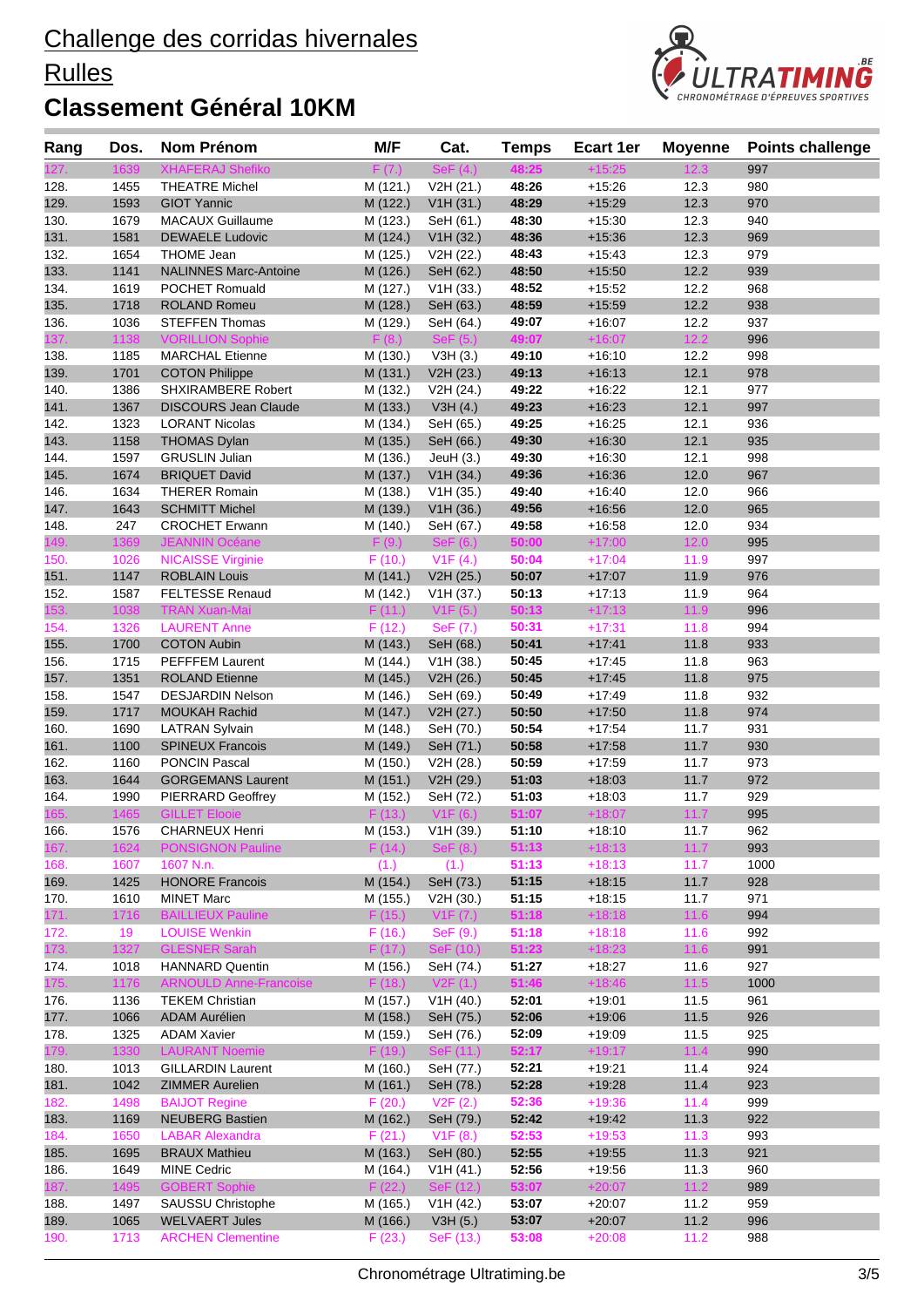### **Rulles**



| Rang         | Dos.         | <b>Nom Prénom</b>                                | M/F                  | Cat.                   | <b>Temps</b>   | Ecart 1er            | <b>Moyenne</b> | <b>Points challenge</b> |
|--------------|--------------|--------------------------------------------------|----------------------|------------------------|----------------|----------------------|----------------|-------------------------|
|              |              | <b>XHAFERAJ Shefiko</b>                          | F(7.)                | $\mathsf{SeF}\ (4.)$   | 48:25          |                      | 12.3           | 997                     |
| 128.         | 1455         | <b>THEATRE Michel</b>                            | M (121.)             | V2H (21.)              | 48:26          | $+15.26$             | 12.3           | 980                     |
| 129.         | 1593         | <b>GIOT Yannic</b>                               | M (122.)             | V1H (31.)              | 48:29          | $+15:29$             | 12.3           | 970                     |
| 130.         | 1679         | <b>MACAUX Guillaume</b>                          | M (123.)             | SeH (61.)              | 48:30          | $+15:30$             | 12.3           | 940                     |
| 131.         | 1581         | <b>DEWAELE Ludovic</b>                           | M (124.)             | V1H (32.)              | 48:36          | $+15:36$             | 12.3           | 969                     |
| 132.         | 1654         | <b>THOME Jean</b>                                | M (125.)             | V2H (22.)              | 48:43          | $+15:43$             | 12.3           | 979                     |
| 133.         | 1141         | <b>NALINNES Marc-Antoine</b>                     | M (126.)             | SeH (62.)              | 48:50          | $+15:50$             | 12.2           | 939                     |
| 134.         | 1619         | POCHET Romuald                                   | M (127.)             | V1H (33.)              | 48:52          | $+15.52$             | 12.2           | 968                     |
| 135.         | 1718         | <b>ROLAND Romeu</b>                              | M (128.)             | SeH (63.)              | 48:59          | $+15:59$             | 12.2           | 938                     |
| 136.         | 1036         | <b>STEFFEN Thomas</b>                            | M (129.)             | SeH (64.)              | 49:07          | $+16:07$             | 12.2           | 937                     |
| 37.          | 1138         | <b>VORILLION Sophie</b>                          | F (8.)               | SeF(5.)                | 49:07          | $+16:07$             | 12.2           | 996                     |
| 138.         | 1185         | <b>MARCHAL Etienne</b>                           | M (130.)             | V3H(3.)                | 49:10          | $+16:10$             | 12.2           | 998                     |
| 139.         | 1701         | <b>COTON Philippe</b>                            | M (131.)             | V2H (23.)              | 49:13          | $+16:13$             | 12.1           | 978                     |
| 140.         | 1386         | <b>SHXIRAMBERE Robert</b>                        | M (132.)             | V2H (24.)              | 49:22          | $+16:22$             | 12.1           | 977                     |
| 141.         | 1367         | <b>DISCOURS Jean Claude</b>                      | M (133.)             | V3H(4.)                | 49:23          | $+16:23$             | 12.1           | 997                     |
| 142.         | 1323         | <b>LORANT Nicolas</b>                            | M (134.)             | SeH (65.)              | 49:25          | $+16.25$             | 12.1           | 936                     |
| 143.         | 1158         | <b>THOMAS Dylan</b>                              | M (135.)             | SeH (66.)              | 49:30          | $+16:30$             | 12.1           | 935                     |
| 144.         | 1597         | <b>GRUSLIN Julian</b>                            | M (136.)             | JeuH $(3.)$            | 49:30          | $+16:30$             | 12.1           | 998                     |
| 145.         | 1674         | <b>BRIQUET David</b>                             | M (137.)             | V1H (34.)              | 49:36          | $+16:36$             | 12.0           | 967                     |
| 146.         | 1634         | <b>THERER Romain</b>                             | M (138.)             | V1H (35.)              | 49:40          | $+16.40$             | 12.0           | 966                     |
| 147.         | 1643         | <b>SCHMITT Michel</b>                            | M (139.)             | V1H (36.)              | 49:56          | $+16:56$             | 12.0           | 965                     |
| 148.         | 247          | <b>CROCHET Erwann</b>                            | M (140.)             | SeH (67.)              | 49:58          | $+16:58$             | 12.0           | 934                     |
| 149.         | 1369         | <b>JEANNIN Océane</b>                            | F(9.)                | SeF(6.)                | 50:00          | $+17:00$             | 12.0           | 995                     |
| 150.         | 1026         | <b>NICAISSE Virginie</b>                         | F(10.)               | V1F(4.)                | 50:04          | $+17:04$             | 11.9           | 997                     |
| 151.         | 1147         | <b>ROBLAIN Louis</b>                             | M (141.)             | V2H (25.)              | 50:07          | $+17:07$             | 11.9           | 976                     |
| 152.         | 1587         | <b>FELTESSE Renaud</b>                           | M (142.)             | V1H (37.)              | 50:13          | $+17:13$             | 11.9           | 964                     |
| 53.          | 1038         | <b>TRAN Xuan-Mai</b>                             | F(11.)               | V1F(5.)                | 50:13          | $+17:13$             | 11.9           | 996                     |
| 154.         | 1326         | <b>LAURENT Anne</b>                              | F(12.)               | SeF (7.)               | 50:31          | $+17:31$             | 11.8           | 994                     |
| 155.         | 1700         | <b>COTON Aubin</b>                               | M (143.)             | SeH (68.)              | 50:41          | $+17.41$             | 11.8           | 933                     |
| 156.         | 1715         | PEFFFEM Laurent                                  | M (144.)             | V1H (38.)              | 50:45          | $+17:45$             | 11.8           | 963                     |
| 157.         | 1351<br>1547 | <b>ROLAND Etienne</b>                            | M (145.)             | V2H (26.)              | 50:45<br>50:49 | $+17:45$<br>$+17:49$ | 11.8<br>11.8   | 975<br>932              |
| 158.         |              | <b>DESJARDIN Nelson</b>                          | M (146.)             | SeH (69.)              | 50:50          |                      |                |                         |
| 159.         | 1717<br>1690 | <b>MOUKAH Rachid</b>                             | M (147.)             | V2H (27.)<br>SeH (70.) | 50:54          | $+17:50$<br>$+17:54$ | 11.8<br>11.7   | 974<br>931              |
| 160.<br>161. | 1100         | <b>LATRAN Sylvain</b><br><b>SPINEUX Francois</b> | M (148.)<br>M (149.) | SeH (71.)              | 50:58          | $+17:58$             | 11.7           | 930                     |
| 162.         | 1160         | <b>PONCIN Pascal</b>                             | M (150.)             | V2H (28.)              | 50:59          | $+17:59$             | 11.7           | 973                     |
| 163.         | 1644         | <b>GORGEMANS Laurent</b>                         | M (151.)             | V2H (29.)              | 51:03          | $+18:03$             | 11.7           | 972                     |
| 164.         | 1990         | PIERRARD Geoffrey                                | M (152.)             | SeH (72.)              | 51:03          | $+18:03$             | 11.7           | 929                     |
| 165.         | 1465         | <b>GILLET Elooie</b>                             | F(13.)               | V1F(6.)                | 51:07          | $+18:07$             | 11.7           | 995                     |
| 166.         | 1576         | CHARNEUX Henri                                   |                      | M (153.) V1H (39.)     | 51:10          | $+18:10$             | 11.7           | 962                     |
| 167.         | 1624         | <b>PONSIGNON Pauline</b>                         | F(14.)               | SeF (8.)               | 51:13          | $+18:13$             | 11.7           | 993                     |
| 168.         | 1607         | 1607 N.n.                                        | (1.)                 | (1.)                   | 51:13          | $+18:13$             | 11.7           | 1000                    |
| 169.         | 1425         | <b>HONORE Francois</b>                           | M (154.)             | SeH (73.)              | 51:15          | $+18:15$             | 11.7           | 928                     |
| 170.         | 1610         | <b>MINET Marc</b>                                | M (155.)             | V2H (30.)              | 51:15          | $+18:15$             | 11.7           | 971                     |
| 171.         | 1716         | <b>BAILLIEUX Pauline</b>                         | F(15.)               | V1F (7.)               | 51:18          | $+18:18$             | 11.6           | 994                     |
| 172.         | 19           | <b>LOUISE Wenkin</b>                             | F(16.)               | SeF(9.)                | 51:18          | $+18:18$             | 11.6           | 992                     |
| 173.         | 1327         | <b>GLESNER Sarah</b>                             | F(17.)               | SeF (10.)              | 51:23          | $+18:23$             | 11.6           | 991                     |
| 174.         | 1018         | <b>HANNARD Quentin</b>                           | M (156.)             | SeH (74.)              | 51:27          | +18:27               | 11.6           | 927                     |
| 175.         | 1176         | <b>ARNOULD Anne-Francoise</b>                    | F(18.)               | V2F(1.)                | 51:46          | $+18:46$             | 11.5           | 1000                    |
| 176.         | 1136         | <b>TEKEM Christian</b>                           | M (157.)             | V1H (40.)              | 52:01          | $+19.01$             | 11.5           | 961                     |
| 177.         | 1066         | <b>ADAM Aurélien</b>                             | M (158.)             | SeH (75.)              | 52:06          | $+19:06$             | 11.5           | 926                     |
| 178.         | 1325         | <b>ADAM Xavier</b>                               | M (159.)             | SeH (76.)              | 52:09          | $+19:09$             | 11.5           | 925                     |
| 179.         | 1330         | <b>LAURANT Noemie</b>                            | F(19.)               | SeF (11.)              | 52:17          | $+19:17$             | 11.4           | 990                     |
| 180.         | 1013         | <b>GILLARDIN Laurent</b>                         | M (160.)             | SeH (77.)              | 52:21          | $+19.21$             | 11.4           | 924                     |
| 181.         | 1042         | <b>ZIMMER Aurelien</b>                           | M (161.)             | SeH (78.)              | 52:28          | $+19:28$             | 11.4           | 923                     |
| 182.         | 1498         | <b>BAIJOT Regine</b>                             | F(20.)               | V2F(2.)                | 52:36          | $+19:36$             | 11.4           | 999                     |
| 183.         | 1169         | <b>NEUBERG Bastien</b>                           | M (162.)             | SeH (79.)              | 52:42          | $+19:42$             | 11.3           | 922                     |
| 184.         | 1650         | <b>LABAR Alexandra</b>                           | F(21.)               | V1F(8.)                | 52:53          | $+19:53$             | 11.3           | 993                     |
| 185.         | 1695         | <b>BRAUX Mathieu</b>                             | M (163.)             | SeH (80.)              | 52:55          | $+19:55$             | 11.3           | 921                     |
| 186.         | 1649         | <b>MINE Cedric</b>                               | M (164.)             | V1H(41.)               | 52:56          | +19:56               | 11.3           | 960                     |
| 187.         | 1495         | <b>GOBERT Sophie</b>                             | F(22.)               | SeF (12.)              | 53:07          | $+20:07$             | $11.2$         | 989                     |
| 188.         | 1497         | SAUSSU Christophe                                | M (165.)             | V1H (42.)              | 53:07          | $+20:07$             | 11.2           | 959                     |
| 189.         | 1065         | <b>WELVAERT Jules</b>                            | M (166.)             | V3H(5.)                | 53:07          | $+20:07$             | 11.2           | 996                     |
| 190.         | 1713         | <b>ARCHEN Clementine</b>                         | F(23.)               | SeF (13.)              | 53:08          | $+20:08$             | 11.2           | 988                     |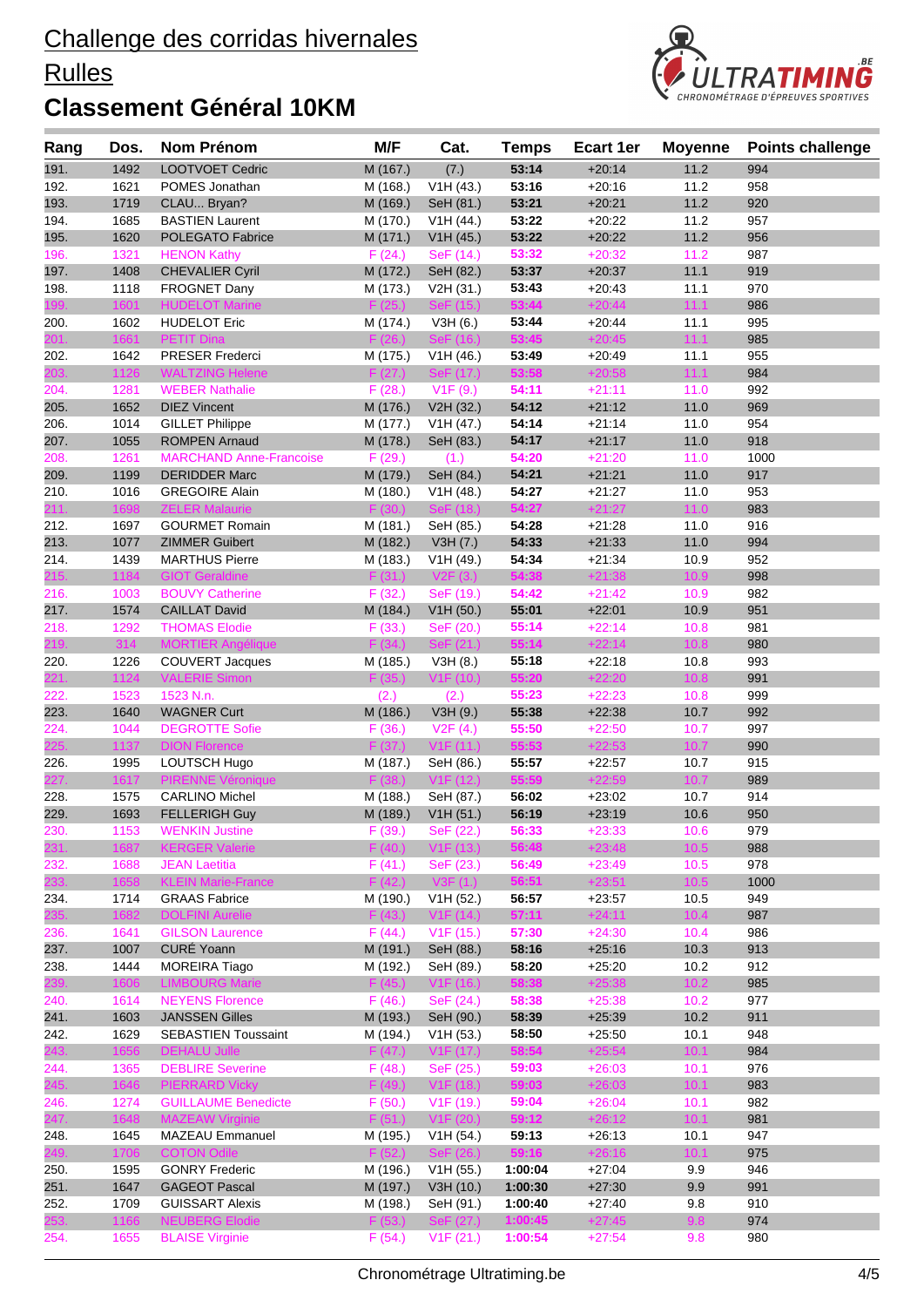### **Rulles**



| Rang         | Dos.         | Nom Prénom                                     | M/F                  | Cat.                   | <b>Temps</b>       | <b>Ecart 1er</b>     | <b>Moyenne</b> | <b>Points challenge</b> |
|--------------|--------------|------------------------------------------------|----------------------|------------------------|--------------------|----------------------|----------------|-------------------------|
| 191.         | 1492         | LOOTVOET Cedric                                | M (167.)             | (7.)                   | 53:14              | $+20:14$             | 11.2           | 994                     |
| 192.         | 1621         | POMES Jonathan                                 | M (168.)             | V1H (43.)              | 53:16              | $+20.16$             | 11.2           | 958                     |
| 193.         | 1719         | CLAU Bryan?                                    | M (169.)             | SeH (81.)              | 53:21              | $+20:21$             | 11.2           | 920                     |
| 194.         | 1685         | <b>BASTIEN Laurent</b>                         | M (170.)             | V1H (44.)              | 53:22              | $+20:22$             | 11.2           | 957                     |
| 195.         | 1620         | POLEGATO Fabrice                               | M (171.)             | V1H (45.)              | 53:22              | $+20:22$             | 11.2           | 956                     |
| 196.         | 1321         | <b>HENON Kathy</b>                             | F(24.)               | SeF (14.)              | 53:32              | $+20:32$             | 11.2           | 987                     |
| 197.         | 1408         | <b>CHEVALIER Cyril</b>                         | M (172.)             | SeH (82.)              | 53:37              | $+20:37$             | 11.1           | 919                     |
| 198.         | 1118         | FROGNET Dany                                   | M (173.)             | V2H (31.)              | 53:43              | $+20.43$             | 11.1           | 970                     |
| 199.         | 1601         | <b>HUDELOT Marine</b>                          | F (25.)              | SeF (15.)              | 53:44              | $+20:44$             | 11.1           | 986                     |
| 200.         | 1602         | <b>HUDELOT Eric</b>                            | M (174.)             | V3H(6.)                | 53:44              | $+20:44$             | 11.1           | 995                     |
| 201.         | 1661         | <b>PETIT Dina</b>                              | F(26.)               | SeF (16.)              | 53:45              | $+20:45$             | 11.1           | 985                     |
| 202.         | 1642         | <b>PRESER Frederci</b>                         | M (175.)             | V1H (46.)              | 53:49              | $+20.49$             | 11.1           | 955                     |
| 203.         | 1126         | <b>WALTZING Helene</b>                         | F(27.)               | SeF (17.)              | 53:58              | $+20:58$             | 11.1           | 984                     |
| 204.         | 1281         | <b>WEBER Nathalie</b>                          | F(28.)               | V1F(9.)                | 54:11              | $+21:11$             | 11.0           | 992                     |
| 205.         | 1652         | <b>DIEZ Vincent</b>                            | M (176.)             | V2H (32.)              | 54:12              | $+21:12$             | 11.0           | 969                     |
| 206.         | 1014         | <b>GILLET Philippe</b>                         | M (177.)             | V1H (47.)              | 54:14              | $+21:14$             | 11.0           | 954                     |
| 207.         | 1055         | <b>ROMPEN Arnaud</b>                           | M (178.)             | SeH (83.)              | 54:17              | $+21:17$             | 11.0           | 918                     |
| 208.         | 1261         | <b>MARCHAND Anne-Francoise</b>                 | F(29.)               | (1.)                   | 54:20              | $+21:20$             | 11.0           | 1000                    |
| 209.         | 1199         | <b>DERIDDER Marc</b>                           | M (179.)             | SeH (84.)              | 54:21              | $+21:21$             | 11.0           | 917                     |
| 210.         | 1016<br>1698 | <b>GREGOIRE Alain</b><br><b>ZELER Malaurie</b> | M (180.)             | V1H (48.)<br>SeF (18.) | 54:27<br>54:27     | $+21:27$<br>$+21:27$ | 11.0<br>11.0   | 953                     |
| 211.<br>212. | 1697         | <b>GOURMET Romain</b>                          | F(30.)               |                        | 54:28              | $+21.28$             | 11.0           | 983<br>916              |
|              | 1077         |                                                | M (181.)             | SeH (85.)              | 54:33              | $+21:33$             | 11.0           | 994                     |
| 213.<br>214. | 1439         | <b>ZIMMER Guibert</b><br><b>MARTHUS Pierre</b> | M (182.)<br>M (183.) | V3H (7.)<br>V1H (49.)  | 54:34              | $+21:34$             | 10.9           | 952                     |
| 215.         | 1184         | <b>GIOT Geraldine</b>                          | F(31.)               | V2F(3.)                | 54:38              | $+21:38$             | 10.9           | 998                     |
| 216.         | 1003         | <b>BOUVY Catherine</b>                         | F(32.)               | SeF (19.)              | 54:42              | $+21:42$             | 10.9           | 982                     |
| 217.         | 1574         | <b>CAILLAT David</b>                           | M (184.)             | V1H (50.)              | 55:01              | $+22:01$             | 10.9           | 951                     |
| 218.         | 1292         | <b>THOMAS Elodie</b>                           | F(33.)               | SeF (20.)              | 55:14              | $+22:14$             | 10.8           | 981                     |
| 219.         | 314          | <b>MORTIER Angélique</b>                       | F(34.)               | SeF (21.)              | 55:14              | $+22:14$             | 10.8           | 980                     |
| 220.         | 1226         | <b>COUVERT Jacques</b>                         | M (185.)             | V3H(8.)                | 55:18              | $+22:18$             | 10.8           | 993                     |
| 221.         | 1124         | <b>VALERIE Simon</b>                           | F(35.)               | V1F(10.)               | 55:20              | $+22:20$             | 10.8           | 991                     |
| 222.         | 1523         | 1523 N.n.                                      | (2.)                 | (2.)                   | 55:23              | $+22:23$             | 10.8           | 999                     |
| 223.         | 1640         | <b>WAGNER Curt</b>                             | M (186.)             | V3H(9.)                | 55:38              | $+22:38$             | 10.7           | 992                     |
| 224.         | 1044         | <b>DEGROTTE Sofie</b>                          | F(36.)               | V2F(4.)                | 55:50              | $+22:50$             | 10.7           | 997                     |
| 225.         | 1137         | <b>DION Florence</b>                           | F(37.)               | V1F(11.)               | 55:53              | $+22:53$             | 10.7           | 990                     |
| 226.         | 1995         | LOUTSCH Hugo                                   | M (187.)             | SeH (86.)              | 55:57              | $+22:57$             | 10.7           | 915                     |
| 227          | 1617         | <b>PIRENNE Véronique</b>                       | F (38.)              | V1F(12.)               | 55:59              | $+22:59$             | 10.7           | 989                     |
| 228.         | 1575         | <b>CARLINO Michel</b>                          | M (188.)             | SeH (87.)              | 56:02              | $+23:02$             | 10.7           | 914                     |
| 229.         | 1693         | <b>FELLERIGH Guy</b>                           | M (189.)             | V1H (51.)              | 56:19              | $+23:19$             | 10.6           | 950                     |
| 230.         | 1153         | <b>WENKIN Justine</b>                          | F (39.)              | SeF (22.)              | 56:33              | $+23:33$             | 10.6           | 979                     |
| 231.         | 1687         | <b>KERGER Valerie</b>                          | F(40.)               | V1F(13.)               | 56:48              | $+23:48$             | 10.5           | 988                     |
| 232.         | 1688         | <b>JEAN Laetitia</b>                           | F(41.)               | SeF (23.)              | 56:49              | $+23:49$             | 10.5           | 978                     |
| 233.         | 1658         | <b>KLEIN Marie-France</b>                      | F(42.)               | V3F(1.)                | 56:51              | $+23:51$             | 10.5           | 1000                    |
| 234.         | 1714         | <b>GRAAS Fabrice</b>                           | M (190.)             | V1H (52.)              | 56:57              | $+23:57$             | 10.5           | 949                     |
| 235.         | 1682         | <b>DOLFINI Aurelie</b>                         | F(43.)               | V1F(14.)               | 57:11              | $+24:11$             | 10.4           | 987                     |
| 236.         | 1641         | <b>GILSON Laurence</b>                         | F(44.)               | V1F(15.)               | 57:30              | $+24:30$             | 10.4           | 986                     |
| 237.         | 1007         | CURÉ Yoann                                     | M (191.)             | SeH (88.)              | 58:16              | $+25:16$             | 10.3           | 913                     |
| 238.         | 1444         | <b>MOREIRA Tiago</b>                           | M (192.)             | SeH (89.)              | 58:20              | $+25:20$             | 10.2           | 912                     |
| 239.         | 1606         | <b>LIMBOURG Marie</b>                          | F(45.)               | V1F(16.)               | 58:38              | $+25:38$             | 10.2           | 985                     |
| 240.         | 1614         | <b>NEYENS Florence</b>                         | F(46.)               | SeF (24.)              | 58:38              | $+25:38$             | 10.2           | 977                     |
| 241.         | 1603         | <b>JANSSEN Gilles</b>                          | M (193.)             | SeH (90.)              | 58:39              | $+25:39$             | 10.2           | 911                     |
| 242.         | 1629         | <b>SEBASTIEN Toussaint</b>                     | M (194.)             | V1H (53.)              | 58:50              | $+25:50$             | 10.1           | 948                     |
| 243.         | 1656         | <b>DEHALU Julle</b>                            | F(47.)               | V <sub>1</sub> F (17.) | 58:54              | $+25:54$             | 10.1           | 984                     |
| 244.         | 1365         | <b>DEBLIRE Severine</b>                        | F(48.)               | SeF (25.)              | 59:03              | $+26:03$             | 10.1           | 976                     |
| 245.         | 1646         | <b>PIERRARD Vicky</b>                          | F(49.)               | V1F(18.)               | 59:03              | $+26:03$             | 10.1           | 983                     |
| 246.         | 1274         | <b>GUILLAUME Benedicte</b>                     | F(50.)               | V1F(19.)               | 59:04              | $+26:04$             | 10.1           | 982                     |
| 247.         | 1648         | <b>MAZEAW Virginie</b>                         | F(51.)               | V1F(20.)               | 59:12              | $+26:12$             | 10.1           | 981                     |
| 248.         | 1645         | <b>MAZEAU Emmanuel</b>                         | M (195.)             | V1H (54.)              | 59:13              | $+26:13$             | 10.1           | 947                     |
| 249.         | 1706         | <b>COTON Odile</b>                             | F(52.)               | SeF (26.)              | 59:16              | $+26:16$             | 10.1           | 975                     |
| 250.         | 1595<br>1647 | <b>GONRY Frederic</b><br><b>GAGEOT Pascal</b>  | M (196.)<br>M (197.) | V1H (55.)              | 1:00:04<br>1:00:30 | $+27:04$             | 9.9<br>9.9     | 946<br>991              |
| 251.<br>252. | 1709         | <b>GUISSART Alexis</b>                         | M (198.)             | V3H (10.)<br>SeH (91.) | 1:00:40            | $+27:30$<br>$+27:40$ | 9.8            | 910                     |
| 253.         | 1166         | <b>NEUBERG Elodie</b>                          | F(53.)               | SeF (27.)              | 1:00:45            | $+27:45$             | 9.8            | 974                     |
| 254.         | 1655         | <b>BLAISE Virginie</b>                         | F(54.)               | V1F(21.)               | 1:00:54            | $+27:54$             | 9.8            | 980                     |
|              |              |                                                |                      |                        |                    |                      |                |                         |